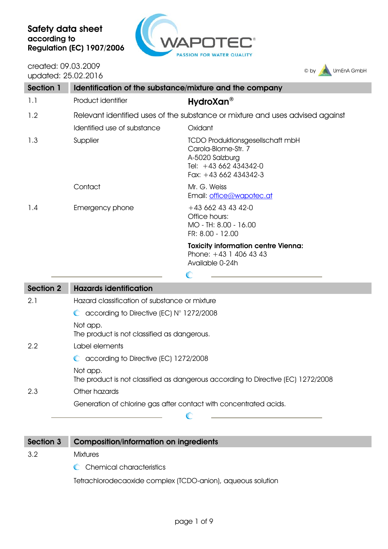

created: 09.03.2009 updated: 25.02.2016



| Section 1 | Identification of the substance/mixture and the company |                                                                                                                                     |
|-----------|---------------------------------------------------------|-------------------------------------------------------------------------------------------------------------------------------------|
| 1.1       | Product identifier                                      | HydroXan <sup>®</sup>                                                                                                               |
| 1.2       |                                                         | Relevant identified uses of the substance or mixture and uses advised against                                                       |
|           | Identified use of substance                             | Oxidant                                                                                                                             |
| 1.3       | Supplier                                                | <b>TCDO Produktionsgesellschaft mbH</b><br>Carola-Blome-Str. 7<br>A-5020 Salzburg<br>Tel: $+43662434342-0$<br>Fax: $+43662434342-3$ |
|           | Contact                                                 | Mr. G. Weiss<br>Email: office@wapotec.at                                                                                            |
| 1.4       | Emergency phone                                         | $+43662434342-0$<br>Office hours:<br>MO - TH: 8.00 - 16.00<br>FR: 8.00 - 12.00                                                      |
|           |                                                         | <b>Toxicity information centre Vienna:</b><br>Phone: $+43$ 1 406 43 43<br>Available 0-24h                                           |

| Section 2 | <b>Hazards identification</b>                                                                |
|-----------|----------------------------------------------------------------------------------------------|
| 2.1       | Hazard classification of substance or mixture                                                |
|           | $\bullet$ according to Directive (EC) $N^{\circ}$ 1272/2008                                  |
|           | Not app.<br>The product is not classified as dangerous.                                      |
| 2.2       | Label elements                                                                               |
|           | C according to Directive (EC) 1272/2008                                                      |
|           | Not app.<br>The product is not classified as dangerous according to Directive (EC) 1272/2008 |
| 2.3       | Other hazards                                                                                |
|           | Generation of chlorine gas after contact with concentrated acids.                            |
|           |                                                                                              |

Section 3 Composition/information on ingredients 3.2 Mixtures C Chemical characteristics

Tetrachlorodecaoxide complex (TCDO-anion), aqueous solution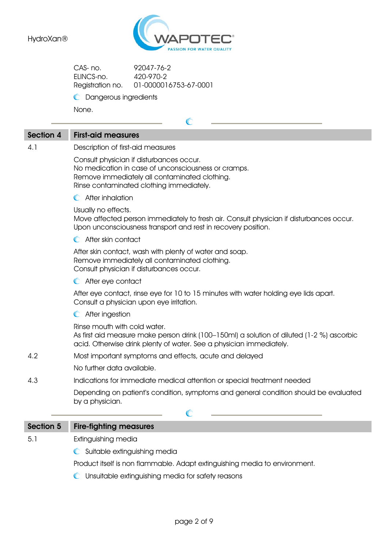

C

| CAS-no.          | 92047-76-2            |
|------------------|-----------------------|
| FHNCS-no.        | 420-970-2             |
| Registration no. | 01-0000016753-67-0001 |

**C** Dangerous ingredients

None.

### Section 4 First-aid measures

4.1 Description of first-aid measures

Consult physician if disturbances occur. No medication in case of unconsciousness or cramps. Remove immediately all contaminated clothing. Rinse contaminated clothing immediately.

**C** After inhalation

Usually no effects.

Move affected person immediately to fresh air. Consult physician if disturbances occur. Upon unconsciousness transport and rest in recovery position.

**C** After skin contact

After skin contact, wash with plenty of water and soap. Remove immediately all contaminated clothing. Consult physician if disturbances occur.

**C** After eye contact

After eye contact, rinse eye for 10 to 15 minutes with water holding eye lids apart. Consult a physician upon eye irritation.

After ingestion

Rinse mouth with cold water.

As first aid measure make person drink (100–150ml) a solution of diluted (1-2 %) ascorbic acid. Otherwise drink plenty of water. See a physician immediately.

4.2 Most important symptoms and effects, acute and delayed

No further data available.

4.3 Indications for immediate medical attention or special treatment needed

Depending on patient's condition, symptoms and general condition should be evaluated by a physician.

### $\mathcal C$ Section 5 Fire-fighting measures 5.1 Extinguishing media **C** Suitable extinguishing media Product itself is non flammable. Adapt extinguishing media to environment.

Unsuitable extinguishing media for safety reasons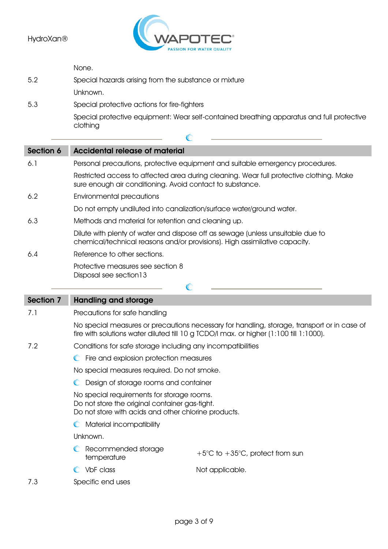

|           | None.                                                                                                                                                         |
|-----------|---------------------------------------------------------------------------------------------------------------------------------------------------------------|
| 5.2       | Special hazards arising from the substance or mixture                                                                                                         |
|           | Unknown.                                                                                                                                                      |
| 5.3       | Special protective actions for fire-fighters                                                                                                                  |
|           | Special protective equipment: Wear self-contained breathing apparatus and full protective<br>clothing                                                         |
|           |                                                                                                                                                               |
| Section 6 | <b>Accidental release of material</b>                                                                                                                         |
| 6.1       | Personal precautions, protective equipment and suitable emergency procedures.                                                                                 |
|           | Restricted access to affected area during cleaning. Wear full protective clothing. Make<br>sure enough air conditioning. Avoid contact to substance.          |
| 6.2       | Environmental precautions                                                                                                                                     |
|           | Do not empty undiluted into canalization/surface water/ground water.                                                                                          |
| 6.3       | Methods and material for retention and cleaning up.                                                                                                           |
|           | Dilute with plenty of water and dispose off as sewage (unless unsuitable due to<br>chemical/technical reasons and/or provisions). High assimilative capacity. |

6.4 Reference to other sections.

Protective measures see section 8 Disposal see section13

| <b>Section 7</b> | <b>Handling and storage</b>                                                                                                                                                           |
|------------------|---------------------------------------------------------------------------------------------------------------------------------------------------------------------------------------|
| 7.1              | Precautions for safe handling                                                                                                                                                         |
|                  | No special measures or precautions necessary for handling, storage, transport or in case of<br>fire with solutions water diluted till 10 g TCDO/I max. or higher (1:100 till 1:1000). |
| 7.2              | Conditions for safe storage including any incompatibilities                                                                                                                           |
|                  | Fire and explosion protection measures<br>$\mathbb{C}$                                                                                                                                |
|                  | No special measures required. Do not smoke.                                                                                                                                           |
|                  | Design of storage rooms and container                                                                                                                                                 |

 $\overline{a}$ 

- No special requirements for storage rooms. Do not store the original container gas-tight. Do not store with acids and other chlorine products.
- **C** Material incompatibility

Unknown.

- C Recommended storage tecommended storage  $+5^{\circ}$ C to  $+35^{\circ}$ C, protect from sun<br>temperature
- C VbF class Not applicable.

7.3 Specific end uses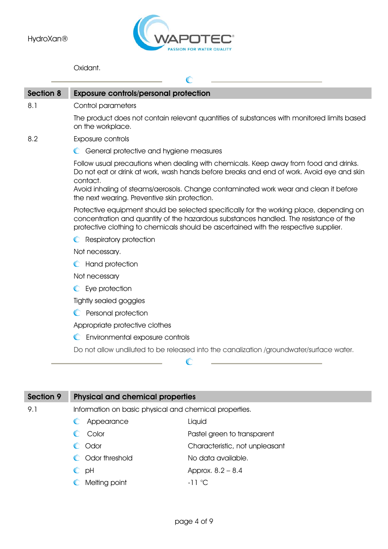

æ

Oxidant.

| Section 8 | <b>Exposure controls/personal protection</b>                                                                                                                                                                                                                              |
|-----------|---------------------------------------------------------------------------------------------------------------------------------------------------------------------------------------------------------------------------------------------------------------------------|
| 8.1       | Control parameters                                                                                                                                                                                                                                                        |
|           | The product does not contain relevant quantities of substances with monitored limits based<br>on the workplace.                                                                                                                                                           |
| 8.2       | Exposure controls                                                                                                                                                                                                                                                         |
|           | C General protective and hygiene measures                                                                                                                                                                                                                                 |
|           | Follow usual precautions when dealing with chemicals. Keep away from food and drinks.<br>Do not eat or drink at work, wash hands before breaks and end of work. Avoid eye and skin<br>contact.                                                                            |
|           | Avoid inhaling of steams/aerosols. Change contaminated work wear and clean it before<br>the next wearing. Preventive skin protection.                                                                                                                                     |
|           | Protective equipment should be selected specifically for the working place, depending on<br>concentration and quantity of the hazardous substances handled. The resistance of the<br>protective clothing to chemicals should be ascertained with the respective supplier. |
|           | <b>C</b> Respiratory protection                                                                                                                                                                                                                                           |
|           | Not necessary.                                                                                                                                                                                                                                                            |
|           | Hand protection<br>$\mathbb{C}$                                                                                                                                                                                                                                           |
|           | Not necessary                                                                                                                                                                                                                                                             |
|           | C Eye protection                                                                                                                                                                                                                                                          |
|           | Tightly sealed goggles                                                                                                                                                                                                                                                    |
|           | Personal protection<br>$\mathbb{C}$                                                                                                                                                                                                                                       |
|           | Appropriate protective clothes                                                                                                                                                                                                                                            |
|           | Environmental exposure controls<br>$\mathbb{C}$                                                                                                                                                                                                                           |
|           | Do not allow undiluted to be released into the canalization /groundwater/surface water.                                                                                                                                                                                   |
|           |                                                                                                                                                                                                                                                                           |

| Section 9 | <b>Physical and chemical properties</b>                |                                |  |
|-----------|--------------------------------------------------------|--------------------------------|--|
| 9.1       | Information on basic physical and chemical properties. |                                |  |
|           | Appearance                                             | Liquid                         |  |
|           | Color                                                  | Pastel green to transparent    |  |
|           | Odor                                                   | Characteristic, not unpleasant |  |
|           | Odor threshold                                         | No data available.             |  |
|           | pH<br>$\mathbb C$                                      | Approx. 8.2 - 8.4              |  |
|           | Melting point<br>$\mathbb{C}$                          | $-11^{\circ}$ C                |  |
|           |                                                        |                                |  |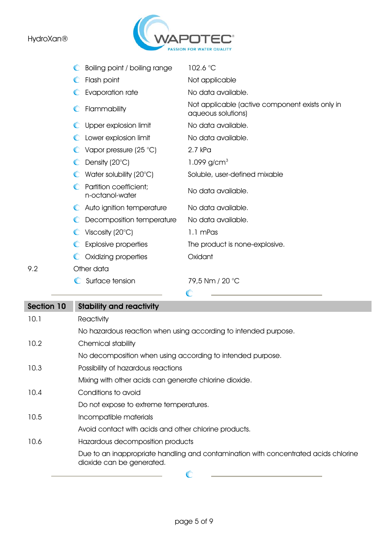9.2



| Boiling point / boiling range             | 102.6 °C                                                              |
|-------------------------------------------|-----------------------------------------------------------------------|
| Flash point<br>O                          | Not applicable                                                        |
| Evaporation rate                          | No data available.                                                    |
| Flammability<br>$\mathbb{C}$              | Not applicable (active component exists only in<br>aqueous solutions) |
| Upper explosion limit                     | No data available.                                                    |
| Lower explosion limit                     | No data available.                                                    |
| Vapor pressure (25 °C)                    | 2.7 kPa                                                               |
| Density $(20^{\circ}C)$                   | 1.099 $g/cm^{3}$                                                      |
| Water solubility $(20^{\circ}C)$          | Soluble, user-defined mixable                                         |
| Partition coefficient;<br>n-octanol-water | No data available.                                                    |
| C Auto ignition temperature               | No data available.                                                    |
| Decomposition temperature                 | No data available.                                                    |
| Viscosity (20 $\degree$ C)                | 1.1 mPas                                                              |
| <b>Explosive properties</b>               | The product is none-explosive.                                        |
| Oxidizing properties                      | Oxidant                                                               |
| Other data                                |                                                                       |
| Surface tension                           | 79,5 Nm / 20 °C                                                       |
|                                           | $\sqrt{2}$                                                            |

| Section 10 | <b>Stability and reactivity</b>                                                                                  |
|------------|------------------------------------------------------------------------------------------------------------------|
| 10.1       | Reactivity                                                                                                       |
|            | No hazardous reaction when using according to intended purpose.                                                  |
| 10.2       | Chemical stability                                                                                               |
|            | No decomposition when using according to intended purpose.                                                       |
| 10.3       | Possibility of hazardous reactions                                                                               |
|            | Mixing with other acids can generate chlorine dioxide.                                                           |
| 10.4       | Conditions to avoid                                                                                              |
|            | Do not expose to extreme temperatures.                                                                           |
| 10.5       | Incompatible materials                                                                                           |
|            | Avoid contact with acids and other chlorine products.                                                            |
| 10.6       | Hazardous decomposition products                                                                                 |
|            | Due to an inappropriate handling and contamination with concentrated acids chlorine<br>dioxide can be generated. |
|            |                                                                                                                  |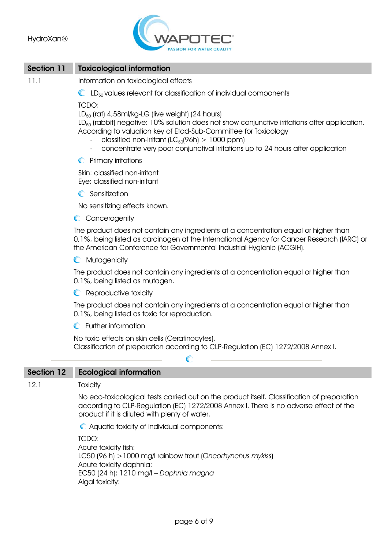

### Section 11 Toxicological information

- 11.1 Information on toxicological effects
	- $\mathbb{C}$  LD<sub>50</sub> values relevant for classification of individual components

TCDO:

 $LD_{50}$  (rat) 4,58ml/kg-LG (live weight) (24 hours)

LD<sub>50</sub> (rabbit) negative: 10% solution does not show conjunctive irritations after application. According to valuation key of Etad-Sub-Committee for Toxicology

- classified non-irritant ( $LC_{50}(96h) > 1000$  ppm)
- concentrate very poor conjunctival irritations up to 24 hours after application
- **C** Primary irritations

Skin: classified non-irritant Eye: classified non-irritant

**C** Sensitization

No sensitizing effects known.

C Cancerogenity

The product does not contain any ingredients at a concentration equal or higher than 0,1%, being listed as carcinogen at the International Agency for Cancer Research (IARC) or the American Conference for Governmental Industrial Hygienic (ACGIH).

**C** Mutagenicity

The product does not contain any ingredients at a concentration equal or higher than 0.1%, being listed as mutagen.

**C** Reproductive toxicity

The product does not contain any ingredients at a concentration equal or higher than 0.1%, being listed as toxic for reproduction.

**C** Further information

No toxic effects on skin cells (Ceratinocytes). Classification of preparation according to CLP-Regulation (EC) 1272/2008 Annex I.

C

#### Section 12 Ecological information

12.1 Toxicity

No eco-toxicological tests carried out on the product itself. Classification of preparation according to CLP-Regulation (EC) 1272/2008 Annex I. There is no adverse effect of the product if it is diluted with plenty of water.

Aquatic toxicity of individual components:

TCDO: Acute toxicity fish: LC50 (96 h) >1000 mg/l rainbow trout (*Oncorhynchus mykiss*) Acute toxicity daphnia: EC50 (24 h): 1210 mg/l – *Daphnia magna* Algal toxicity: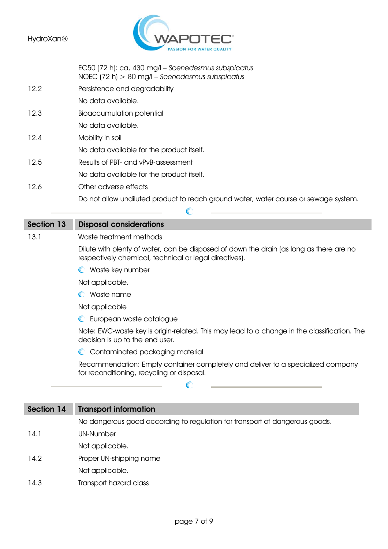

EC50 (72 h): ca, 430 mg/l – *Scenedesmus subspicatus* 

NOEC (72 h) > 80 mg/l – *Scenedesmus subspicatus* 12.2 Persistence and degradability No data available. 12.3 Bioaccumulation potential No data available. 12.4 Mobility in soil No data available for the product itself. 12.5 Results of PBT- and vPvB-assessment No data available for the product itself. 12.6 Other adverse effects Do not allow undiluted product to reach ground water, water course or sewage system. C

## Section 13 Disposal considerations

#### 13.1 Waste treatment methods

Dilute with plenty of water, can be disposed of down the drain (as long as there are no respectively chemical, technical or legal directives).

**C** Waste key number

Not applicable.

Waste name

Not applicable

**C** European waste catalogue

Note: EWC-waste key is origin-related. This may lead to a change in the classification. The decision is up to the end user.

C Contaminated packaging material

Recommendation: Empty container completely and deliver to a specialized company for reconditioning, recycling or disposal.

# Section 14 Transport information No dangerous good according to regulation for transport of dangerous goods. 14.1 UN-Number Not applicable. 14.2 Proper UN-shipping name

 $\mathbb{C}$ 

- Not applicable.
- 14.3 Transport hazard class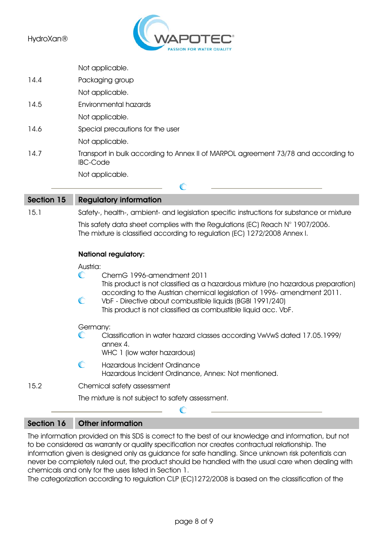

|      | Not applicable.                                                                                       |
|------|-------------------------------------------------------------------------------------------------------|
| 14.4 | Packaging group                                                                                       |
|      | Not applicable.                                                                                       |
| 14.5 | Environmental hazards                                                                                 |
|      | Not applicable.                                                                                       |
| 14.6 | Special precautions for the user                                                                      |
|      | Not applicable.                                                                                       |
| 14.7 | Transport in bulk according to Annex II of MARPOL agreement 73/78 and according to<br><b>IBC-Code</b> |
|      | Not applicable.                                                                                       |
|      |                                                                                                       |

Section 15 Regulatory information 15.1 Safety-, health-, ambient- and legislation specific instructions for substance or mixture This safety data sheet complies with the Regulations (EC) Reach N° 1907/2006. The mixture is classified according to regulation (EC) 1272/2008 Annex I. National regulatory: Austria: ChemG 1996-amendment 2011 O This product is not classified as a hazardous mixture (no hazardous preparation) according to the Austrian chemical legislation of 1996- amendment 2011.  $\mathbb{C}$ VbF - Directive about combustible liquids (BGBl 1991/240) This product is not classified as combustible liquid acc. VbF. Germany:  $\subset$ Classification in water hazard classes according VwVwS dated 17.05.1999/ annex 4. WHC 1 (low water hazardous)  $\mathbb{C}$ Hazardous Incident Ordinance Hazardous Incident Ordinance, Annex: Not mentioned.

15.2 Chemical safety assessment

The mixture is not subject to safety assessment.

### Section 16 Other information

The information provided on this SDS is correct to the best of our knowledge and information, but not to be considered as warranty or quality specification nor creates contractual relationship. The information given is designed only as guidance for safe handling. Since unknown risk potentials can never be completely ruled out, the product should be handled with the usual care when dealing with chemicals and only for the uses listed in Section 1.

The categorization according to regulation CLP (EC)1272/2008 is based on the classification of the